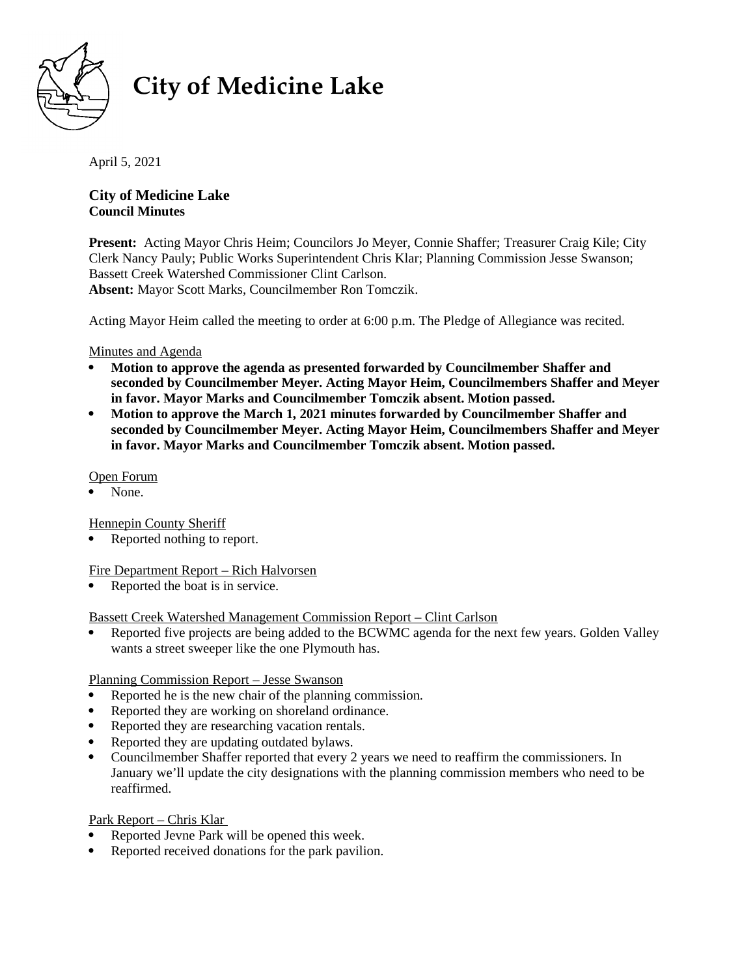

# **City of Medicine Lake**

April 5, 2021

# **City of Medicine Lake Council Minutes**

**Present:** Acting Mayor Chris Heim; Councilors Jo Meyer, Connie Shaffer; Treasurer Craig Kile; City Clerk Nancy Pauly; Public Works Superintendent Chris Klar; Planning Commission Jesse Swanson; Bassett Creek Watershed Commissioner Clint Carlson. **Absent:** Mayor Scott Marks, Councilmember Ron Tomczik.

Acting Mayor Heim called the meeting to order at 6:00 p.m. The Pledge of Allegiance was recited.

## Minutes and Agenda

- **Motion to approve the agenda as presented forwarded by Councilmember Shaffer and seconded by Councilmember Meyer. Acting Mayor Heim, Councilmembers Shaffer and Meyer in favor. Mayor Marks and Councilmember Tomczik absent. Motion passed.**
- **Motion to approve the March 1, 2021 minutes forwarded by Councilmember Shaffer and seconded by Councilmember Meyer. Acting Mayor Heim, Councilmembers Shaffer and Meyer in favor. Mayor Marks and Councilmember Tomczik absent. Motion passed.**

# Open Forum

None.

Hennepin County Sheriff

Reported nothing to report.

Fire Department Report – Rich Halvorsen

• Reported the boat is in service.

#### Bassett Creek Watershed Management Commission Report – Clint Carlson

 Reported five projects are being added to the BCWMC agenda for the next few years. Golden Valley wants a street sweeper like the one Plymouth has.

#### Planning Commission Report – Jesse Swanson

- Reported he is the new chair of the planning commission.
- Reported they are working on shoreland ordinance.
- Reported they are researching vacation rentals.
- Reported they are updating outdated bylaws.
- Councilmember Shaffer reported that every 2 years we need to reaffirm the commissioners. In January we'll update the city designations with the planning commission members who need to be reaffirmed.

#### Park Report – Chris Klar

- Reported Jevne Park will be opened this week.
- Reported received donations for the park pavilion.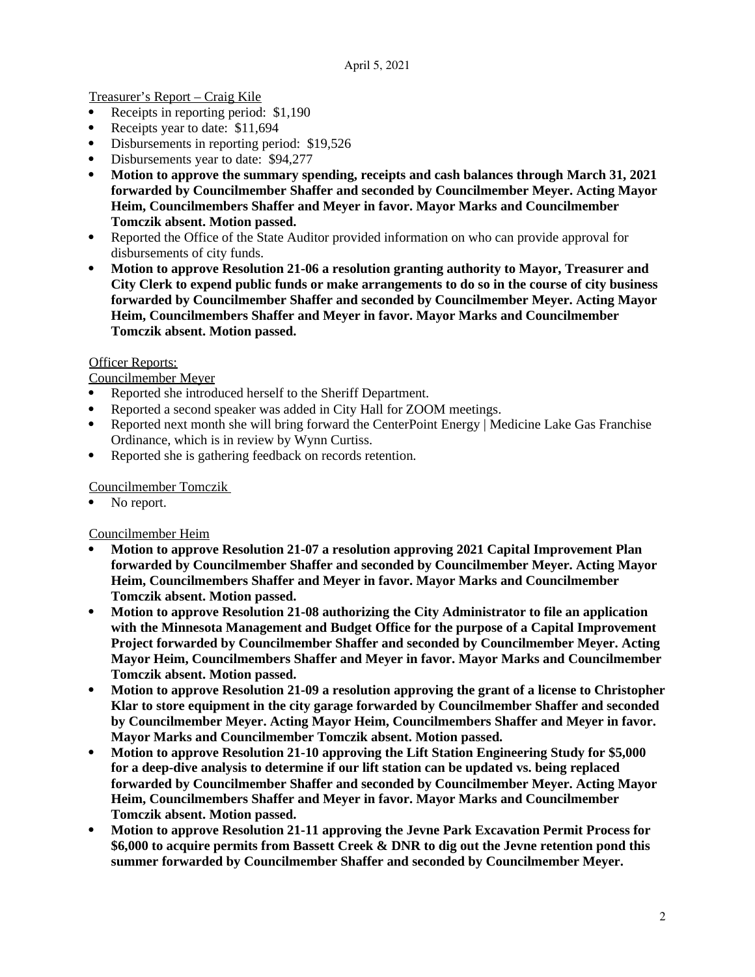Treasurer's Report – Craig Kile

- Receipts in reporting period: \$1,190
- Receipts year to date: \$11,694
- Disbursements in reporting period: \$19,526
- Disbursements year to date: \$94,277
- **Motion to approve the summary spending, receipts and cash balances through March 31, 2021 forwarded by Councilmember Shaffer and seconded by Councilmember Meyer. Acting Mayor Heim, Councilmembers Shaffer and Meyer in favor. Mayor Marks and Councilmember Tomczik absent. Motion passed.**
- Reported the Office of the State Auditor provided information on who can provide approval for disbursements of city funds.
- **Motion to approve Resolution 21-06 a resolution granting authority to Mayor, Treasurer and City Clerk to expend public funds or make arrangements to do so in the course of city business forwarded by Councilmember Shaffer and seconded by Councilmember Meyer. Acting Mayor Heim, Councilmembers Shaffer and Meyer in favor. Mayor Marks and Councilmember Tomczik absent. Motion passed.**

#### Officer Reports:

Councilmember Meyer

- Reported she introduced herself to the Sheriff Department.
- Reported a second speaker was added in City Hall for ZOOM meetings.
- Reported next month she will bring forward the CenterPoint Energy | Medicine Lake Gas Franchise Ordinance, which is in review by Wynn Curtiss.
- Reported she is gathering feedback on records retention.

Councilmember Tomczik

No report.

Councilmember Heim

- **Motion to approve Resolution 21-07 a resolution approving 2021 Capital Improvement Plan forwarded by Councilmember Shaffer and seconded by Councilmember Meyer. Acting Mayor Heim, Councilmembers Shaffer and Meyer in favor. Mayor Marks and Councilmember Tomczik absent. Motion passed.**
- **Motion to approve Resolution 21-08 authorizing the City Administrator to file an application with the Minnesota Management and Budget Office for the purpose of a Capital Improvement Project forwarded by Councilmember Shaffer and seconded by Councilmember Meyer. Acting Mayor Heim, Councilmembers Shaffer and Meyer in favor. Mayor Marks and Councilmember Tomczik absent. Motion passed.**
- **Motion to approve Resolution 21-09 a resolution approving the grant of a license to Christopher Klar to store equipment in the city garage forwarded by Councilmember Shaffer and seconded by Councilmember Meyer. Acting Mayor Heim, Councilmembers Shaffer and Meyer in favor. Mayor Marks and Councilmember Tomczik absent. Motion passed.**
- **Motion to approve Resolution 21-10 approving the Lift Station Engineering Study for \$5,000 for a deep-dive analysis to determine if our lift station can be updated vs. being replaced forwarded by Councilmember Shaffer and seconded by Councilmember Meyer. Acting Mayor Heim, Councilmembers Shaffer and Meyer in favor. Mayor Marks and Councilmember Tomczik absent. Motion passed.**
- **Motion to approve Resolution 21-11 approving the Jevne Park Excavation Permit Process for \$6,000 to acquire permits from Bassett Creek & DNR to dig out the Jevne retention pond this summer forwarded by Councilmember Shaffer and seconded by Councilmember Meyer.**